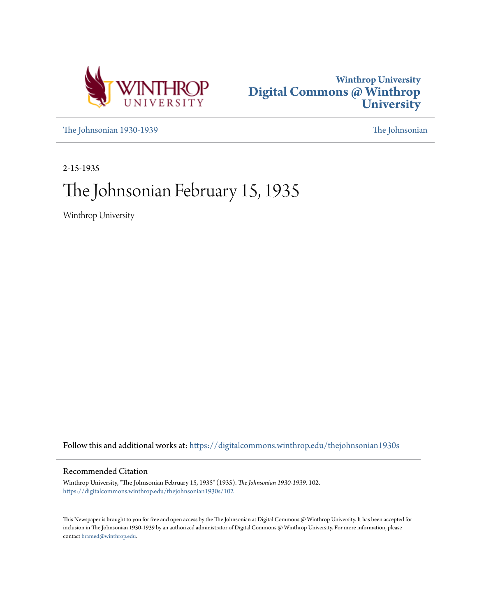



[The Johnsonian 1930-1939](https://digitalcommons.winthrop.edu/thejohnsonian1930s?utm_source=digitalcommons.winthrop.edu%2Fthejohnsonian1930s%2F102&utm_medium=PDF&utm_campaign=PDFCoverPages) [The Johnsonian](https://digitalcommons.winthrop.edu/thejohnsonian_newspaper?utm_source=digitalcommons.winthrop.edu%2Fthejohnsonian1930s%2F102&utm_medium=PDF&utm_campaign=PDFCoverPages)

2-15-1935

# The Johnsonian February 15, 1935

Winthrop University

Follow this and additional works at: [https://digitalcommons.winthrop.edu/thejohnsonian1930s](https://digitalcommons.winthrop.edu/thejohnsonian1930s?utm_source=digitalcommons.winthrop.edu%2Fthejohnsonian1930s%2F102&utm_medium=PDF&utm_campaign=PDFCoverPages)

## Recommended Citation

Winthrop University, "The Johnsonian February 15, 1935" (1935). *The Johnsonian 1930-1939*. 102. [https://digitalcommons.winthrop.edu/thejohnsonian1930s/102](https://digitalcommons.winthrop.edu/thejohnsonian1930s/102?utm_source=digitalcommons.winthrop.edu%2Fthejohnsonian1930s%2F102&utm_medium=PDF&utm_campaign=PDFCoverPages)

This Newspaper is brought to you for free and open access by the The Johnsonian at Digital Commons @ Winthrop University. It has been accepted for inclusion in The Johnsonian 1930-1939 by an authorized administrator of Digital Commons @ Winthrop University. For more information, please contact [bramed@winthrop.edu](mailto:bramed@winthrop.edu).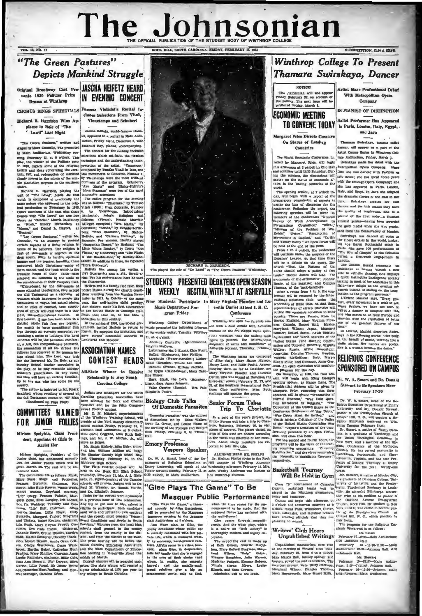# The Johnsonian CK HILL, SOUTH CAROLINA, FRIDAY, FEBRUARY 15, 193

## "The Green Pastures" **Depicts Mankind Struggle**

VOL. 18, NO. 17

CHORUS SINGS SPIRITUALS Famous Violiniat's Recital In-**Richard R. Harrison Wins Au-**

plause in Role of "The Lawd" Last Night

by Marc Connelly, was presented Emanu<br>hin Auditorium, Wednesday eve-

Miriam Sprights, President die ble Ghester County high school con-<br>and Mr. William Sprights, President die Ghester County high school con-<br>area for Junky Politze which will be Richardy Fig. Thursday. Pelruary 14, in the<br>s Mater 200766. Wheats 2010-12075, and Yell, and the content womand. The control of the content with the content of the content of the content of the content of the content of the content of the content of the content of th Lumes, "Lume Bass, cannons, "came evapose or paticipates" associates. Matter Bass, 213 and Telesto, Billie Roys, Ditty must write and deliver his own oration; Bass, and Telesto, Isabel Renton, chairman, literal Conditions

Original Broadway Cast Pre- JASCHA HEIFETZ HEARD sents 1930 Pulitzer Prize IN EVENING CONCERT

cludes Selections From Vitali, Vieuxtemps and Schubert

ha Heifein, worki-fa ared in a recital in Main Audist, appe "The Green Pastures," written and terlum, Friday night, December 8, with The concert for the evening included

"The Green Passiure," written and loring, rrout and the simulation is the<br>main and the comparing. The state comparing the state of the comparing<br>the Main Auditorium, Wednesday eve-<br>The comparing Rey, planis, accompanying,



partnent of Beligious Education at Hill shaper<br>Emory University, will speak at the Wednesday aft<br>
Vespor services Sunday, Pebruary 17, at John Wesley<br>
(6:30 o'clock, in Main Auditorium, and the Winthrop ley And

## "Giee Plays The Game" To Be **Masquer Public Performance**

"Glee Plays the Game," a three-<br>4 comedy by Allce Gustenherg. art will be presented by the Masqu r evening in the Joh Hall Audit crium at 8 o'clock

Ann Ware stars as Glee, the in clo erly contras ded with her nrivate life, which is managed wit .<br>Iol vate life, which is measured relatively by merceary, barely<br>respect relatively. The second relatively as a crisis, however, when Giae, in doup<br>sensition, when the second definition of their family that she is engaged<br>whom,

when the time comes for the au-

supposed flance has vanished with

France.<br>The supporting east is made up<br>of Beth Gibson, Annetic McCol-<br>hun, Mary Boford Peagram, Mary-<br>Lund Wilson, "Salp" Geiger,<br>Frances Roughton, Julia Warren,

Madel'n: Padgett, Eleanor Hobs<br>Nimale Green Mosre, Lou

Klough, and Sara Croy

through-m cently, And the whole play, which<br>is a native on "high society" is<br>thoroughly modern, and highly en-

Louis

ary 13, Mrs on Pebro

nt of Catawba teams will be<br>help gynnasium, ethnil tem Dutree : basketball teams will be<br>played in the Windavor gynamosium,<br>collay and teams will begin this afternoon at<br>3 of clock and teams will begin this afternoon at<br>3 of clock and teams working with the York. London:<br>York.

## Writers' Club Hears **Unpublished Writings**

numbers present were Betty Carrison, Hum; 8:00—Cabinet, Johnson Hall, Maryland Wilson, Dimples Thomas, Pebruary 28—12:30—Johnson Hall; Mary Haraworth, Mary Stuart Mills, [6:30—Vespers—Main Auditorium,

**Winthrop College To Present** Thamara Swirskaya, Dancer **NOTICE** 

The Johnsonian will not appear<br>Friday, February 22, on account of the holiday. The next issue will be<br>published Friday, March 1.

**TO CONVENE TODAY** 

**Margaret Price Directs Conclave** 

On Status of Leading

Countries

The World Foonomia Cont

**ECONOMIC MEETING** 

Artist Made Professi aal Debut With Metropolitan Opera Company

SUBSCRIPTION, CLAS. A VEAR.

**IS PLANIST OF DISTINCTION** 

**Bullet Performer Hug Anneoned** in Paris, London, Italy, Egypt, and Java

Th. ra Swirskaya, fan us ballet dancer, will appear as a part of the Artist Course Series in Winthrop Col-

The World Economic Conference, di-<br>Inge Auditorium, Friday, March 1.<br>Icd by Margaret Price, will begin Bwirakaya made her debut with The world Economic Conference, di- 'rege Andilorium, Friday, March 1.<br>
The vector by Margaret Price, will begin  $^{\dagger}$  Swinskays, made her African Kirk the the this afternoon at 3 o'clock in Giu Hall, Actropolitan Opera she can the seame countries  $w_n = \frac{1}{2}$ <br>can be calculated to the seame countries  $w_n = \frac{1}{2}$ <br>world.<br>The opening session, at 2 o'clock to-fluidy, and Egypt. In  $w_{n-1}$ <br>gay, will begin with a report of the the dramatic f decide the line of discussion for the games, and for this reason they have<br>conference. Following the report, the games, and for this reason they have<br>conference. Following the report, the line tunal of the first order—a R

sor of Biblical Theology at E rsity for the past twenty-

Mr. Stewart, a native of M is a graduate of Davidson College, Uniersity of Lonisville, and the Pr esby. erian Theological Seminary in Louis ville. He attended Edinburgh Univer sity prior to his position as pastor of<br>the Cakland Avenue Presbyterian<br>Church, Rock Hill, He studied in New York until he was called to become pastor of the Presbyterian Church at Chapel Hill, N. C., which position he st

now holds. The program for the Religious Emphasis Week-end is as follows:

Printer Wetnesday 17-6:30-Main Audi<br>8:00-Johnson Hall.

the De- Dr. Shelton Pitelps spoke to the Rock<br>tion at Hill chapter of Winthrop Alumnac

the wall-flower!

Glen

 $k$ yak

## **Rasketball Tourney** Will Be Held in Gym

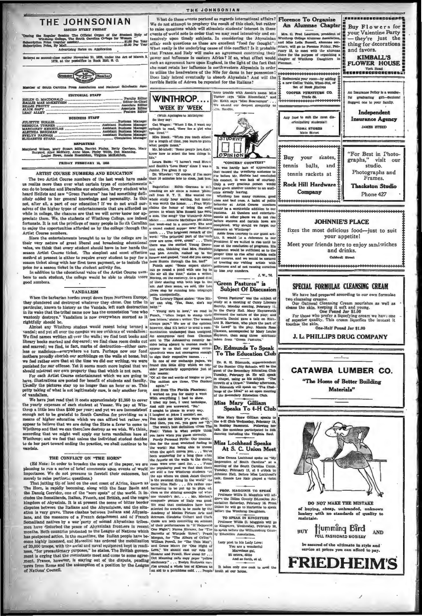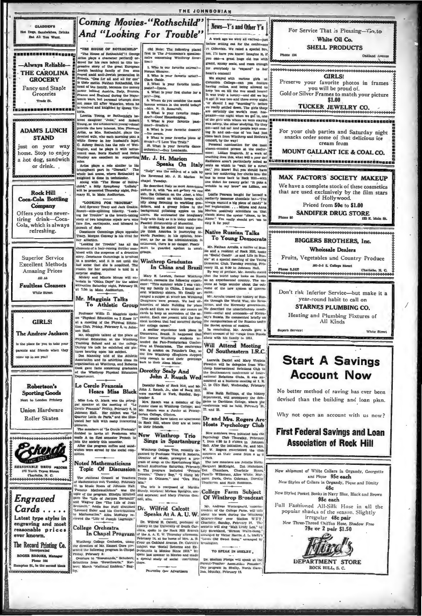